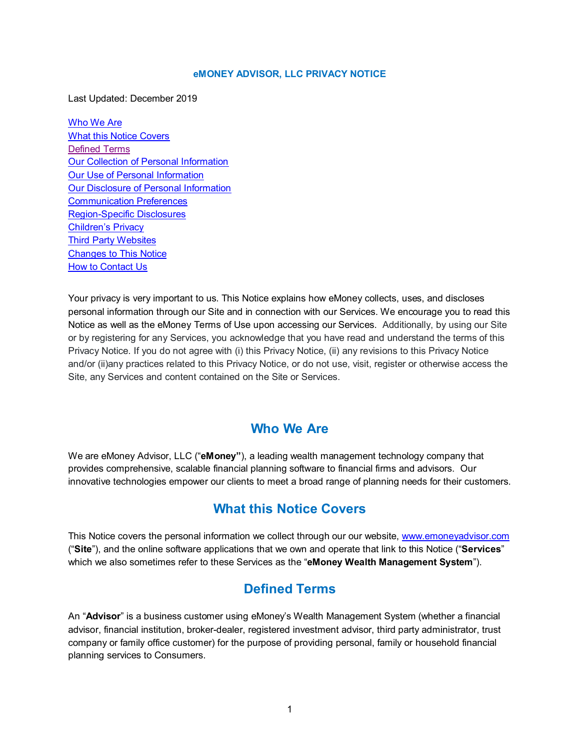#### **eMONEY ADVISOR, LLC PRIVACY NOTICE**

<span id="page-0-3"></span>Last Updated: December 2019

[Who We Are](#page-0-0) [What this Notice Covers](#page-0-1) [Defined Terms](#page-0-2) **[Our Collection of Personal Information](#page-1-0)** [Our Use of Personal Information](#page-4-0) [Our Disclosure of Personal Information](#page-5-0) [Communication Preferences](#page-9-0) [Region-Specific Disclosures](#page-9-1) [Children's Privacy](#page-10-0) [Third Party Websites](#page-10-1) [Changes to This Notice](#page-10-2) [How to Contact Us](#page-10-3)

Your privacy is very important to us. This Notice explains how eMoney collects, uses, and discloses personal information through our Site and in connection with our Services. We encourage you to read this Notice as well as the eMoney Terms of Use upon accessing our Services. Additionally, by using our Site or by registering for any Services, you acknowledge that you have read and understand the terms of this Privacy Notice. If you do not agree with (i) this Privacy Notice, (ii) any revisions to this Privacy Notice and/or (ii)any practices related to this Privacy Notice, or do not use, visit, register or otherwise access the Site, any Services and content contained on the Site or Services.

## **Who We Are**

<span id="page-0-0"></span>We are eMoney Advisor, LLC ("**eMoney"**), a leading wealth management technology company that provides comprehensive, scalable financial planning software to financial firms and advisors. Our innovative technologies empower our clients to meet a broad range of planning needs for their customers.

# **What this Notice Covers**

<span id="page-0-1"></span>This Notice covers the personal information we collect through our our website, [www.emoneyadvisor.com](http://www.emoneyadvisor.com/) ("**Site**"), and the online software applications that we own and operate that link to this Notice ("**Services**" which we also sometimes refer to these Services as the "**eMoney Wealth Management System**").

# **Defined Terms**

<span id="page-0-2"></span>An "**Advisor**" is a business customer using eMoney's Wealth Management System (whether a financial advisor, financial institution, broker-dealer, registered investment advisor, third party administrator, trust company or family office customer) for the purpose of providing personal, family or household financial planning services to Consumers.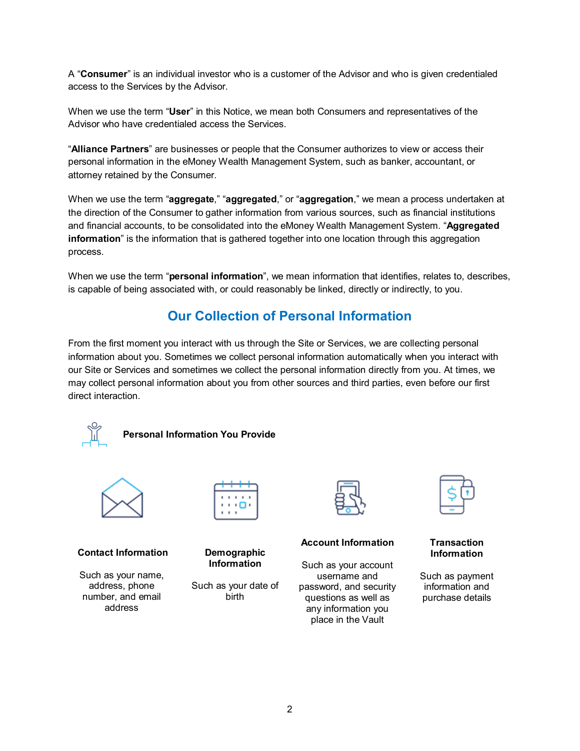A "**Consumer**" is an individual investor who is a customer of the Advisor and who is given credentialed access to the Services by the Advisor.

When we use the term "**User**" in this Notice, we mean both Consumers and representatives of the Advisor who have credentialed access the Services.

"**Alliance Partners**" are businesses or people that the Consumer authorizes to view or access their personal information in the eMoney Wealth Management System, such as banker, accountant, or attorney retained by the Consumer.

When we use the term "**aggregate**," "**aggregated**," or "**aggregation**," we mean a process undertaken at the direction of the Consumer to gather information from various sources, such as financial institutions and financial accounts, to be consolidated into the eMoney Wealth Management System. "**Aggregated information**" is the information that is gathered together into one location through this aggregation process.

When we use the term "**personal information**", we mean information that identifies, relates to, describes, is capable of being associated with, or could reasonably be linked, directly or indirectly, to you.

# **Our Collection of Personal Information**

<span id="page-1-0"></span>From the first moment you interact with us through the Site or Services, we are collecting personal information about you. Sometimes we collect personal information automatically when you interact with our Site or Services and sometimes we collect the personal information directly from you. At times, we may collect personal information about you from other sources and third parties, even before our first direct interaction.



## **Personal Information You Provide**



### **Contact Information**

Such as your name, address, phone number, and email address



## **Demographic Information**

Such as your date of birth



### **Account Information**

Such as your account username and password, and security questions as well as any information you place in the Vault

#### **Transaction Information**

Such as payment information and purchase details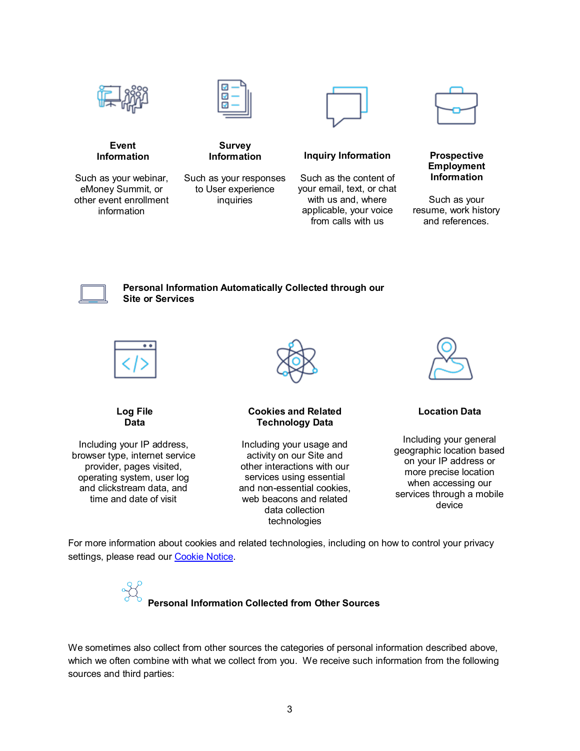



Such as your webinar, eMoney Summit, or other event enrollment information



**Survey Information**

Such as your responses to User experience inquiries



**Inquiry Information**

Such as the content of your email, text, or chat with us and, where applicable, your voice from calls with us



#### **Prospective Employment Information**

Such as your resume, work history and references.



**Personal Information Automatically Collected through our Site or Services**



**Log File Data**

Including your IP address, browser type, internet service provider, pages visited, operating system, user log and clickstream data, and time and date of visit



### **Cookies and Related Technology Data**

Including your usage and activity on our Site and other interactions with our services using essential and non-essential cookies, web beacons and related data collection technologies



**Location Data**

Including your general geographic location based on your IP address or more precise location when accessing our services through a mobile device

For more information about cookies and related technologies, including on how to control your privacy settings, please read our [Cookie Notice.](#page-17-0)



We sometimes also collect from other sources the categories of personal information described above, which we often combine with what we collect from you. We receive such information from the following sources and third parties: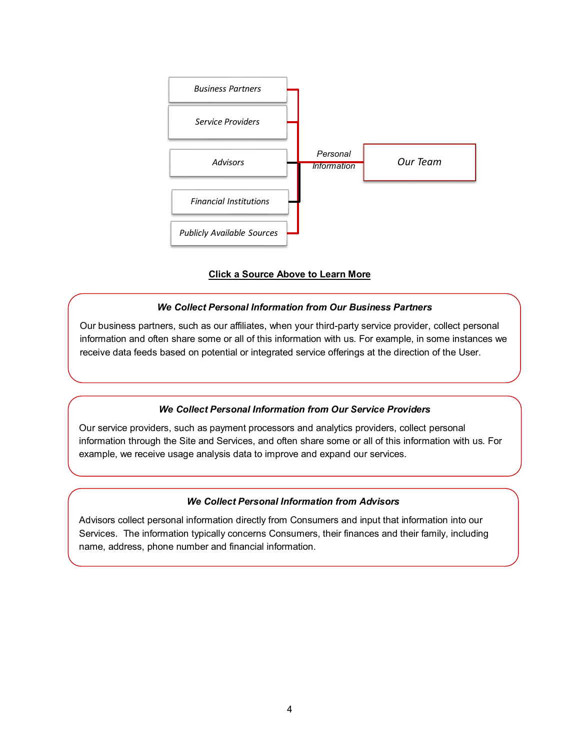

### **Click a Source Above to Learn More**

### *We Collect Personal Information from Our Business Partners*

<span id="page-3-0"></span>Our business partners, such as our affiliates, when your third-party service provider, collect personal information and often share some or all of this information with us. For example, in some instances we receive data feeds based on potential or integrated service offerings at the direction of the User.

### *We Collect Personal Information from Our Service Providers*

<span id="page-3-1"></span>Our service providers, such as payment processors and analytics providers, collect personal information through the Site and Services, and often share some or all of this information with us. For example, we receive usage analysis data to improve and expand our services.

### *We Collect Personal Information from Advisors*

<span id="page-3-2"></span>Advisors collect personal information directly from Consumers and input that information into our Services. The information typically concerns Consumers, their finances and their family, including name, address, phone number and financial information.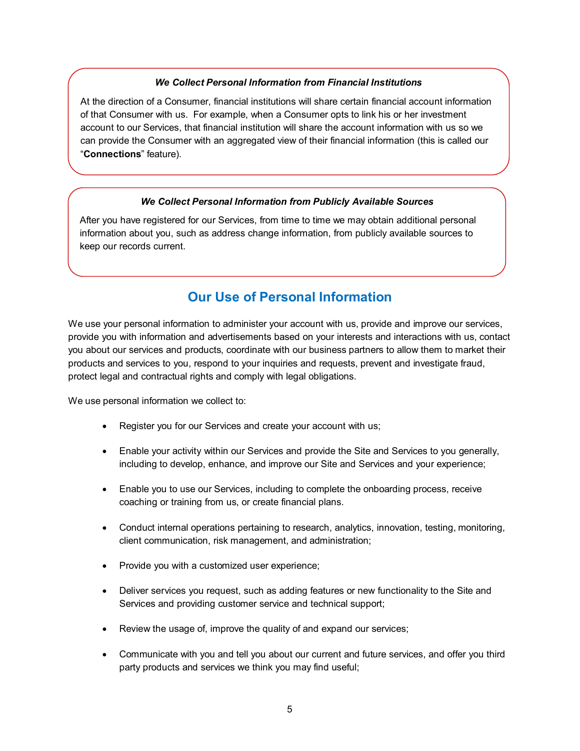### *We Collect Personal Information from Financial Institutions*

<span id="page-4-1"></span>At the direction of a Consumer, financial institutions will share certain financial account information of that Consumer with us. For example, when a Consumer opts to link his or her investment account to our Services, that financial institution will share the account information with us so we can provide the Consumer with an aggregated view of their financial information (this is called our "**Connections**" feature).

#### *We Collect Personal Information from Publicly Available Sources*

<span id="page-4-2"></span>After you have registered for our Services, from time to time we may obtain additional personal information about you, such as address change information, from publicly available sources to keep our records current.

# **Our Use of Personal Information**

<span id="page-4-0"></span>We use your personal information to administer your account with us, provide and improve our services, provide you with information and advertisements based on your interests and interactions with us, contact you about our services and products, coordinate with our business partners to allow them to market their products and services to you, respond to your inquiries and requests, prevent and investigate fraud, protect legal and contractual rights and comply with legal obligations.

We use personal information we collect to:

- Register you for our Services and create your account with us;
- Enable your activity within our Services and provide the Site and Services to you generally, including to develop, enhance, and improve our Site and Services and your experience;
- Enable you to use our Services, including to complete the onboarding process, receive coaching or training from us, or create financial plans.
- Conduct internal operations pertaining to research, analytics, innovation, testing, monitoring, client communication, risk management, and administration;
- Provide you with a customized user experience;
- Deliver services you request, such as adding features or new functionality to the Site and Services and providing customer service and technical support;
- Review the usage of, improve the quality of and expand our services;
- Communicate with you and tell you about our current and future services, and offer you third party products and services we think you may find useful;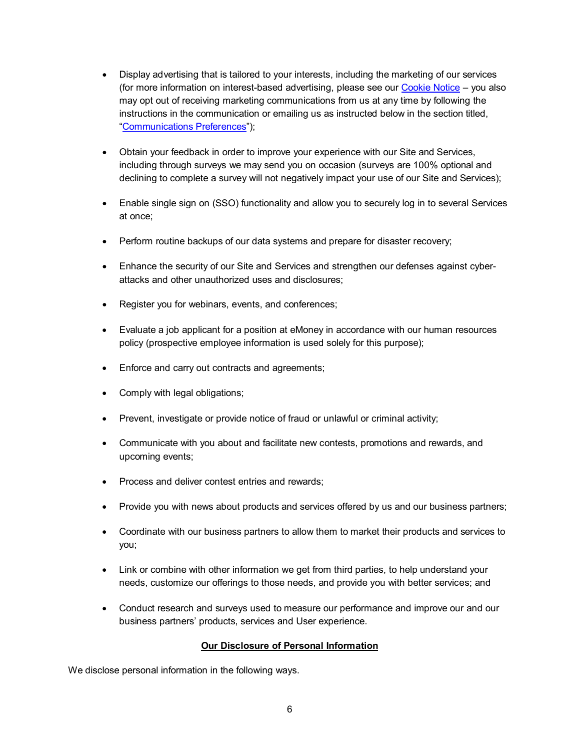- Display advertising that is tailored to your interests, including the marketing of our services (for more information on interest-based advertising, please see our [Cookie Notice](#page-17-0) – you also may opt out of receiving marketing communications from us at any time by following the instructions in the communication or emailing us as instructed below in the section titled, ["Communications Preferences"](#page-9-0));
- Obtain your feedback in order to improve your experience with our Site and Services, including through surveys we may send you on occasion (surveys are 100% optional and declining to complete a survey will not negatively impact your use of our Site and Services);
- Enable single sign on (SSO) functionality and allow you to securely log in to several Services at once;
- Perform routine backups of our data systems and prepare for disaster recovery;
- Enhance the security of our Site and Services and strengthen our defenses against cyberattacks and other unauthorized uses and disclosures;
- Register you for webinars, events, and conferences;
- Evaluate a job applicant for a position at eMoney in accordance with our human resources policy (prospective employee information is used solely for this purpose);
- Enforce and carry out contracts and agreements;
- Comply with legal obligations;
- Prevent, investigate or provide notice of fraud or unlawful or criminal activity;
- Communicate with you about and facilitate new contests, promotions and rewards, and upcoming events;
- Process and deliver contest entries and rewards;
- Provide you with news about products and services offered by us and our business partners;
- Coordinate with our business partners to allow them to market their products and services to you;
- Link or combine with other information we get from third parties, to help understand your needs, customize our offerings to those needs, and provide you with better services; and
- Conduct research and surveys used to measure our performance and improve our and our business partners' products, services and User experience.

### **Our Disclosure of Personal Information**

<span id="page-5-0"></span>We disclose personal information in the following ways.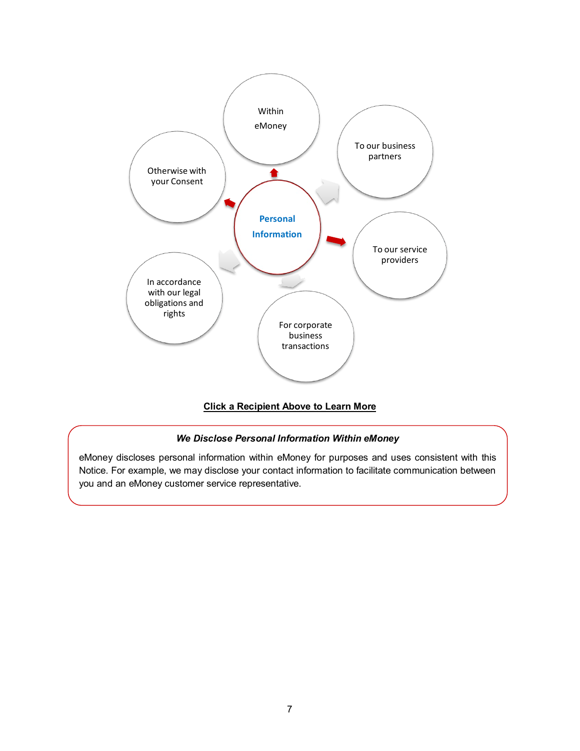<span id="page-6-1"></span>

## **Click a Recipient Above to Learn More**

### *We Disclose Personal Information Within eMoney*

<span id="page-6-0"></span>eMoney discloses personal information within eMoney for purposes and uses consistent with this Notice. For example, we may disclose your contact information to facilitate communication between you and an eMoney customer service representative.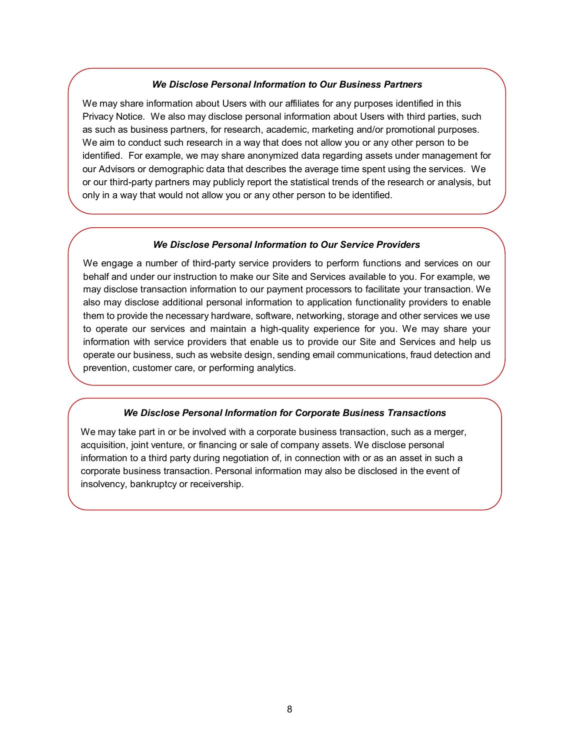### *We Disclose Personal Information to Our Business Partners*

<span id="page-7-0"></span>We may share information about Users with our affiliates for any purposes identified in this Privacy Notice. We also may disclose personal information about Users with third parties, such as such as business partners, for research, academic, marketing and/or promotional purposes. We aim to conduct such research in a way that does not allow you or any other person to be identified. For example, we may share anonymized data regarding assets under management for our Advisors or demographic data that describes the average time spent using the services. We or our third-party partners may publicly report the statistical trends of the research or analysis, but only in a way that would not allow you or any other person to be identified.

#### *We Disclose Personal Information to Our Service Providers*

<span id="page-7-1"></span>We engage a number of third-party service providers to perform functions and services on our behalf and under our instruction to make our Site and Services available to you. For example, we may disclose transaction information to our payment processors to facilitate your transaction. We also may disclose additional personal information to application functionality providers to enable them to provide the necessary hardware, software, networking, storage and other services we use to operate our services and maintain a high-quality experience for you. We may share your information with service providers that enable us to provide our Site and Services and help us operate our business, such as website design, sending email communications, fraud detection and prevention, customer care, or performing analytics.

#### *We Disclose Personal Information for Corporate Business Transactions*

<span id="page-7-2"></span>We may take part in or be involved with a corporate business transaction, such as a merger, acquisition, joint venture, or financing or sale of company assets. We disclose personal information to a third party during negotiation of, in connection with or as an asset in such a corporate business transaction. Personal information may also be disclosed in the event of insolvency, bankruptcy or receivership.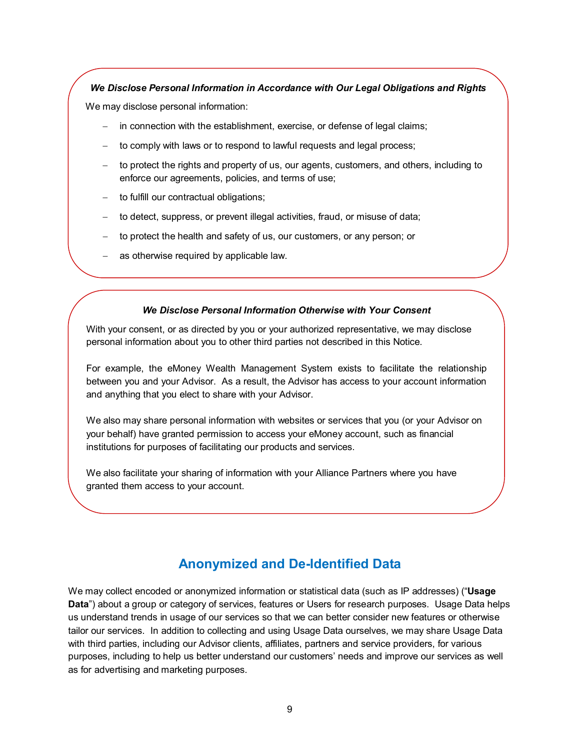### <span id="page-8-0"></span>*We Disclose Personal Information in Accordance with Our Legal Obligations and Rights*

We may disclose personal information:

- in connection with the establishment, exercise, or defense of legal claims;
- to comply with laws or to respond to lawful requests and legal process;
- − to protect the rights and property of us, our agents, customers, and others, including to enforce our agreements, policies, and terms of use;
- to fulfill our contractual obligations;
- − to detect, suppress, or prevent illegal activities, fraud, or misuse of data;
- to protect the health and safety of us, our customers, or any person; or
- as otherwise required by applicable law.

### *We Disclose Personal Information Otherwise with Your Consent*

With your consent, or as directed by you or your authorized representative, we may disclose personal information about you to other third parties not described in this Notice.

For example, the eMoney Wealth Management System exists to facilitate the relationship between you and your Advisor. As a result, the Advisor has access to your account information and anything that you elect to share with your Advisor.

We also may share personal information with websites or services that you (or your Advisor on your behalf) have granted permission to access your eMoney account, such as financial institutions for purposes of facilitating our products and services.

We also facilitate your sharing of information with your Alliance Partners where you have granted them access to your account.

# **Anonymized and De-Identified Data**

We may collect encoded or anonymized information or statistical data (such as IP addresses) ("**Usage Data**") about a group or category of services, features or Users for research purposes. Usage Data helps us understand trends in usage of our services so that we can better consider new features or otherwise tailor our services. In addition to collecting and using Usage Data ourselves, we may share Usage Data with third parties, including our Advisor clients, affiliates, partners and service providers, for various purposes, including to help us better understand our customers' needs and improve our services as well as for advertising and marketing purposes.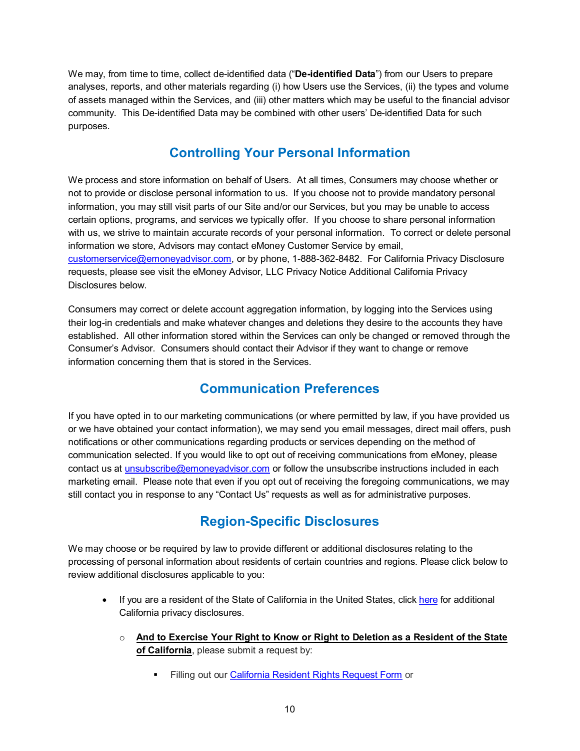We may, from time to time, collect de-identified data ("**De-identified Data**") from our Users to prepare analyses, reports, and other materials regarding (i) how Users use the Services, (ii) the types and volume of assets managed within the Services, and (iii) other matters which may be useful to the financial advisor community. This De-identified Data may be combined with other users' De-identified Data for such purposes.

# **Controlling Your Personal Information**

We process and store information on behalf of Users. At all times, Consumers may choose whether or not to provide or disclose personal information to us. If you choose not to provide mandatory personal information, you may still visit parts of our Site and/or our Services, but you may be unable to access certain options, programs, and services we typically offer. If you choose to share personal information with us, we strive to maintain accurate records of your personal information. To correct or delete personal information we store, Advisors may contact eMoney Customer Service by email, [customerservice@emoneyadvisor.com,](mailto:customerservice@emoneyadvisor.com) or by phone, 1-888-362-8482. For California Privacy Disclosure requests, please see visit the eMoney Advisor, LLC Privacy Notice Additional California Privacy Disclosures below.

Consumers may correct or delete account aggregation information, by logging into the Services using their log-in credentials and make whatever changes and deletions they desire to the accounts they have established. All other information stored within the Services can only be changed or removed through the Consumer's Advisor. Consumers should contact their Advisor if they want to change or remove information concerning them that is stored in the Services.

# **Communication Preferences**

<span id="page-9-0"></span>If you have opted in to our marketing communications (or where permitted by law, if you have provided us or we have obtained your contact information), we may send you email messages, direct mail offers, push notifications or other communications regarding products or services depending on the method of communication selected. If you would like to opt out of receiving communications from eMoney, please contact us at [unsubscribe@emoneyadvisor.com](mailto:unsubscribe@emoneyadvisor.com) or follow the unsubscribe instructions included in each marketing email. Please note that even if you opt out of receiving the foregoing communications, we may still contact you in response to any "Contact Us" requests as well as for administrative purposes.

# **Region-Specific Disclosures**

<span id="page-9-1"></span>We may choose or be required by law to provide different or additional disclosures relating to the processing of personal information about residents of certain countries and regions. Please click below to review additional disclosures applicable to you:

- If you are a resident of the State of California in the United States, click [here](#page-11-0) for additional California privacy disclosures.
	- o **And to Exercise Your Right to Know or Right to Deletion as a Resident of the State of California**, please submit a request by:
		- Filling out our [California Resident Rights Request Form](https://emoneyadvisor.co1.qualtrics.com/jfe/form/SV_cMd7e8Js3W5jR7n) or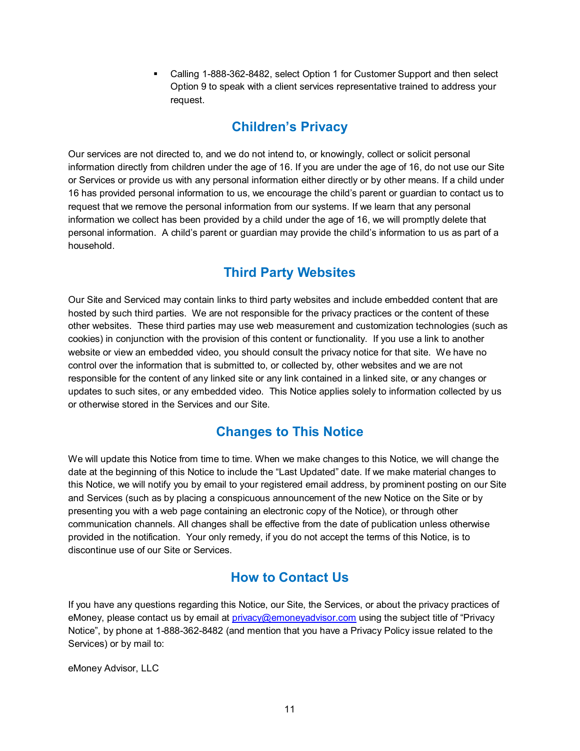Calling 1-888-362-8482, select Option 1 for Customer Support and then select Option 9 to speak with a client services representative trained to address your request.

# **Children's Privacy**

<span id="page-10-0"></span>Our services are not directed to, and we do not intend to, or knowingly, collect or solicit personal information directly from children under the age of 16. If you are under the age of 16, do not use our Site or Services or provide us with any personal information either directly or by other means. If a child under 16 has provided personal information to us, we encourage the child's parent or guardian to contact us to request that we remove the personal information from our systems. If we learn that any personal information we collect has been provided by a child under the age of 16, we will promptly delete that personal information. A child's parent or guardian may provide the child's information to us as part of a household.

# **Third Party Websites**

<span id="page-10-1"></span>Our Site and Serviced may contain links to third party websites and include embedded content that are hosted by such third parties. We are not responsible for the privacy practices or the content of these other websites. These third parties may use web measurement and customization technologies (such as cookies) in conjunction with the provision of this content or functionality. If you use a link to another website or view an embedded video, you should consult the privacy notice for that site. We have no control over the information that is submitted to, or collected by, other websites and we are not responsible for the content of any linked site or any link contained in a linked site, or any changes or updates to such sites, or any embedded video. This Notice applies solely to information collected by us or otherwise stored in the Services and our Site.

# **Changes to This Notice**

<span id="page-10-2"></span>We will update this Notice from time to time. When we make changes to this Notice, we will change the date at the beginning of this Notice to include the "Last Updated" date. If we make material changes to this Notice, we will notify you by email to your registered email address, by prominent posting on our Site and Services (such as by placing a conspicuous announcement of the new Notice on the Site or by presenting you with a web page containing an electronic copy of the Notice), or through other communication channels. All changes shall be effective from the date of publication unless otherwise provided in the notification. Your only remedy, if you do not accept the terms of this Notice, is to discontinue use of our Site or Services.

# **How to Contact Us**

<span id="page-10-3"></span>If you have any questions regarding this Notice, our Site, the Services, or about the privacy practices of eMoney, please contact us by email at [privacy@emoneyadvisor.com](mailto:privacy@emoneyadvisor.com) using the subject title of "Privacy Notice", by phone at 1-888-362-8482 (and mention that you have a Privacy Policy issue related to the Services) or by mail to:

eMoney Advisor, LLC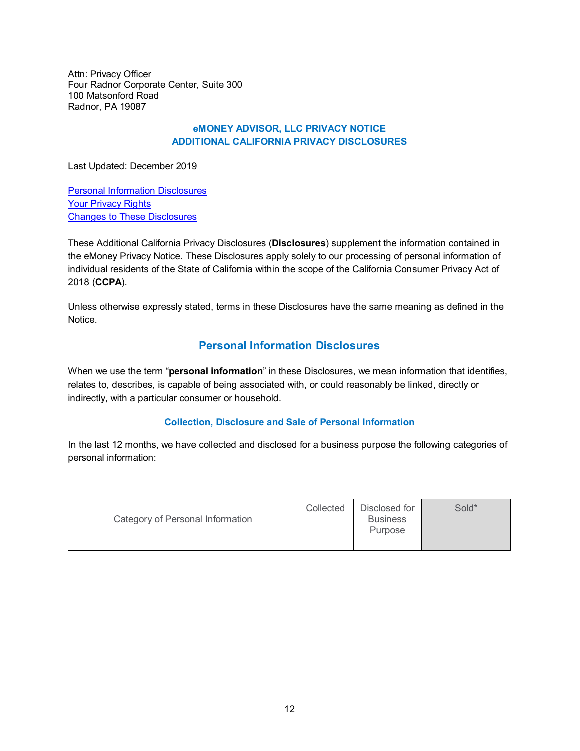Attn: Privacy Officer Four Radnor Corporate Center, Suite 300 100 Matsonford Road Radnor, PA 19087

### **eMONEY ADVISOR, LLC PRIVACY NOTICE ADDITIONAL CALIFORNIA PRIVACY DISCLOSURES**

<span id="page-11-0"></span>Last Updated: December 2019

[Personal Information Disclosures](#page-11-1) [Your Privacy Rights](#page-13-0) [Changes to These Disclosures](#page-15-0)

These Additional California Privacy Disclosures (**Disclosures**) supplement the information contained in the eMoney Privacy Notice. These Disclosures apply solely to our processing of personal information of individual residents of the State of California within the scope of the California Consumer Privacy Act of 2018 (**CCPA**).

Unless otherwise expressly stated, terms in these Disclosures have the same meaning as defined in the Notice.

## **Personal Information Disclosures**

<span id="page-11-1"></span>When we use the term "**personal information**" in these Disclosures, we mean information that identifies, relates to, describes, is capable of being associated with, or could reasonably be linked, directly or indirectly, with a particular consumer or household.

## **Collection, Disclosure and Sale of Personal Information**

In the last 12 months, we have collected and disclosed for a business purpose the following categories of personal information:

| Category of Personal Information | Collected | Disclosed for<br><b>Business</b><br><b>Purpose</b> | Sold* |
|----------------------------------|-----------|----------------------------------------------------|-------|
|                                  |           |                                                    |       |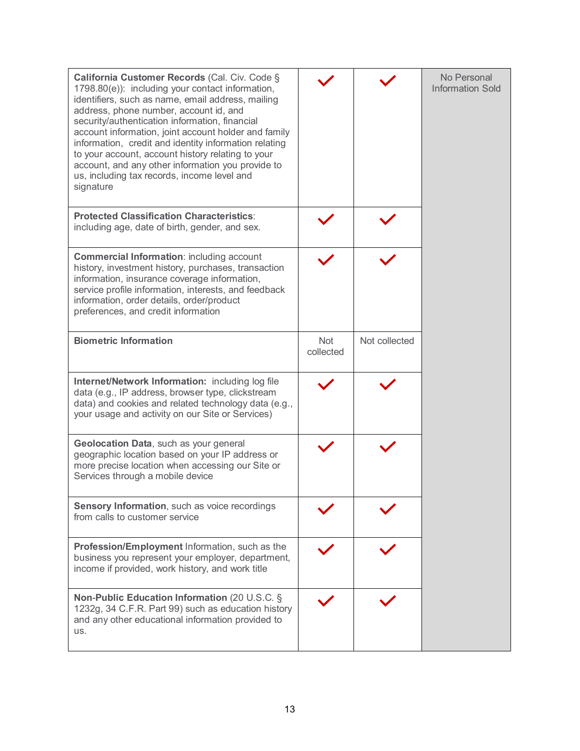| California Customer Records (Cal. Civ. Code §<br>1798.80(e)): including your contact information,<br>identifiers, such as name, email address, mailing<br>address, phone number, account id, and<br>security/authentication information, financial<br>account information, joint account holder and family<br>information, credit and identity information relating<br>to your account, account history relating to your<br>account, and any other information you provide to<br>us, including tax records, income level and<br>signature |                         |               | No Personal<br><b>Information Sold</b> |
|-------------------------------------------------------------------------------------------------------------------------------------------------------------------------------------------------------------------------------------------------------------------------------------------------------------------------------------------------------------------------------------------------------------------------------------------------------------------------------------------------------------------------------------------|-------------------------|---------------|----------------------------------------|
| <b>Protected Classification Characteristics:</b><br>including age, date of birth, gender, and sex.                                                                                                                                                                                                                                                                                                                                                                                                                                        |                         |               |                                        |
| <b>Commercial Information: including account</b><br>history, investment history, purchases, transaction<br>information, insurance coverage information,<br>service profile information, interests, and feedback<br>information, order details, order/product<br>preferences, and credit information                                                                                                                                                                                                                                       |                         |               |                                        |
| <b>Biometric Information</b>                                                                                                                                                                                                                                                                                                                                                                                                                                                                                                              | <b>Not</b><br>collected | Not collected |                                        |
| Internet/Network Information: including log file<br>data (e.g., IP address, browser type, clickstream<br>data) and cookies and related technology data (e.g.,<br>your usage and activity on our Site or Services)                                                                                                                                                                                                                                                                                                                         |                         |               |                                        |
| Geolocation Data, such as your general<br>geographic location based on your IP address or<br>more precise location when accessing our Site or<br>Services through a mobile device                                                                                                                                                                                                                                                                                                                                                         |                         |               |                                        |
| Sensory Information, such as voice recordings<br>from calls to customer service                                                                                                                                                                                                                                                                                                                                                                                                                                                           |                         |               |                                        |
| Profession/Employment Information, such as the<br>business you represent your employer, department,<br>income if provided, work history, and work title                                                                                                                                                                                                                                                                                                                                                                                   |                         |               |                                        |
| Non-Public Education Information (20 U.S.C. §<br>1232g, 34 C.F.R. Part 99) such as education history<br>and any other educational information provided to<br>US.                                                                                                                                                                                                                                                                                                                                                                          |                         |               |                                        |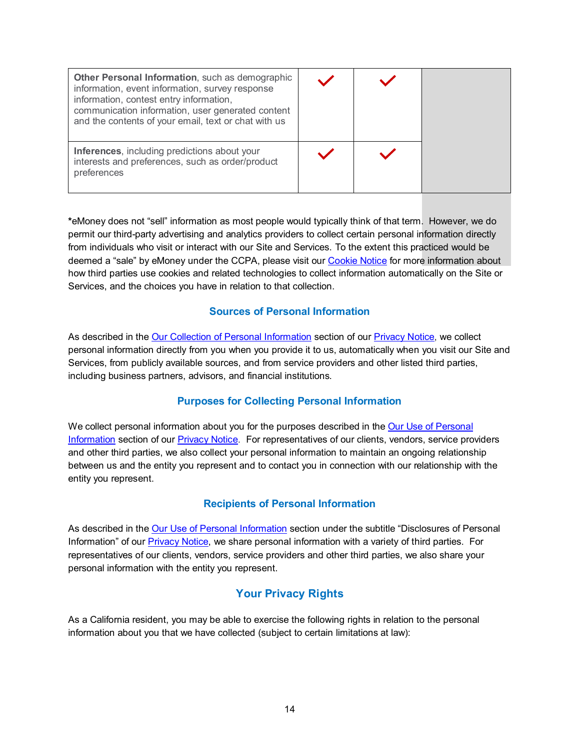| Other Personal Information, such as demographic<br>information, event information, survey response<br>information, contest entry information,<br>communication information, user generated content<br>and the contents of your email, text or chat with us |  |  |
|------------------------------------------------------------------------------------------------------------------------------------------------------------------------------------------------------------------------------------------------------------|--|--|
| Inferences, including predictions about your<br>interests and preferences, such as order/product<br>preferences                                                                                                                                            |  |  |

**\***eMoney does not "sell" information as most people would typically think of that term. However, we do permit our third-party advertising and analytics providers to collect certain personal information directly from individuals who visit or interact with our Site and Services. To the extent this practiced would be deemed a "sale" by eMoney under the CCPA, please visit our [Cookie Notice](#page-17-0) for more information about how third parties use cookies and related technologies to collect information automatically on the Site or Services, and the choices you have in relation to that collection.

## **Sources of Personal Information**

As described in the [Our Collection of Personal Information](#page-1-0) section of our [Privacy Notice,](#page-0-3) we collect personal information directly from you when you provide it to us, automatically when you visit our Site and Services, from publicly available sources, and from service providers and other listed third parties, including business partners, advisors, and financial institutions.

## **Purposes for Collecting Personal Information**

We collect personal information about you for the purposes described in the Our Use of Personal [Information](#page-4-0) section of our [Privacy Notice.](#page-0-3) For representatives of our clients, vendors, service providers and other third parties, we also collect your personal information to maintain an ongoing relationship between us and the entity you represent and to contact you in connection with our relationship with the entity you represent.

## **Recipients of Personal Information**

As described in the [Our Use of Personal Information](#page-4-0) section under the subtitle "Disclosures of Personal Information" of our [Privacy Notice,](#page-0-3) we share personal information with a variety of third parties. For representatives of our clients, vendors, service providers and other third parties, we also share your personal information with the entity you represent.

## **Your Privacy Rights**

<span id="page-13-0"></span>As a California resident, you may be able to exercise the following rights in relation to the personal information about you that we have collected (subject to certain limitations at law):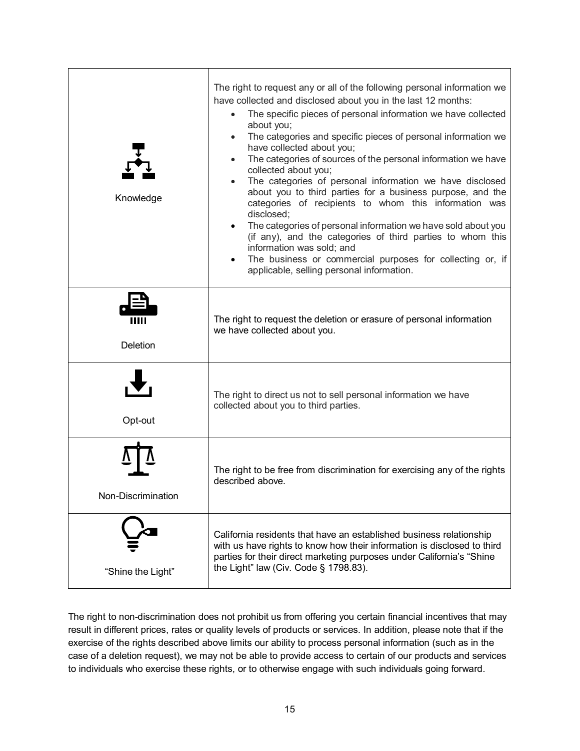| Knowledge          | The right to request any or all of the following personal information we<br>have collected and disclosed about you in the last 12 months:<br>The specific pieces of personal information we have collected<br>about you;<br>The categories and specific pieces of personal information we<br>have collected about you;<br>The categories of sources of the personal information we have<br>collected about you;<br>The categories of personal information we have disclosed<br>about you to third parties for a business purpose, and the<br>categories of recipients to whom this information was<br>disclosed;<br>The categories of personal information we have sold about you<br>(if any), and the categories of third parties to whom this<br>information was sold; and<br>The business or commercial purposes for collecting or, if<br>applicable, selling personal information. |
|--------------------|----------------------------------------------------------------------------------------------------------------------------------------------------------------------------------------------------------------------------------------------------------------------------------------------------------------------------------------------------------------------------------------------------------------------------------------------------------------------------------------------------------------------------------------------------------------------------------------------------------------------------------------------------------------------------------------------------------------------------------------------------------------------------------------------------------------------------------------------------------------------------------------|
| Ш<br>Deletion      | The right to request the deletion or erasure of personal information<br>we have collected about you.                                                                                                                                                                                                                                                                                                                                                                                                                                                                                                                                                                                                                                                                                                                                                                                   |
| Opt-out            | The right to direct us not to sell personal information we have<br>collected about you to third parties.                                                                                                                                                                                                                                                                                                                                                                                                                                                                                                                                                                                                                                                                                                                                                                               |
| Non-Discrimination | The right to be free from discrimination for exercising any of the rights<br>described above.                                                                                                                                                                                                                                                                                                                                                                                                                                                                                                                                                                                                                                                                                                                                                                                          |
| "Shine the Light"  | California residents that have an established business relationship<br>with us have rights to know how their information is disclosed to third<br>parties for their direct marketing purposes under California's "Shine<br>the Light" law (Civ. Code § 1798.83).                                                                                                                                                                                                                                                                                                                                                                                                                                                                                                                                                                                                                       |

The right to non-discrimination does not prohibit us from offering you certain financial incentives that may result in different prices, rates or quality levels of products or services. In addition, please note that if the exercise of the rights described above limits our ability to process personal information (such as in the case of a deletion request), we may not be able to provide access to certain of our products and services to individuals who exercise these rights, or to otherwise engage with such individuals going forward.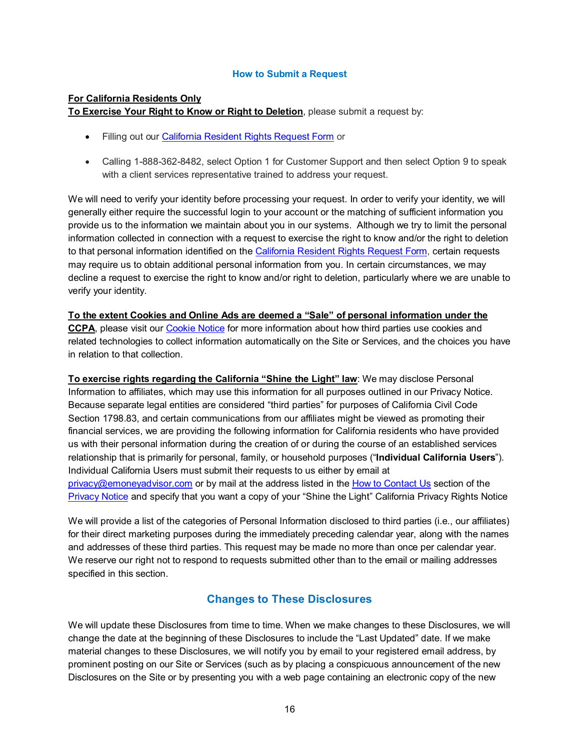### **How to Submit a Request**

#### **For California Residents Only**

**To Exercise Your Right to Know or Right to Deletion**, please submit a request by:

- Filling out our [California Resident Rights Request Form](https://emoneyadvisor.co1.qualtrics.com/jfe/form/SV_cMd7e8Js3W5jR7n) or
- Calling 1-888-362-8482, select Option 1 for Customer Support and then select Option 9 to speak with a client services representative trained to address your request.

We will need to verify your identity before processing your request. In order to verify your identity, we will generally either require the successful login to your account or the matching of sufficient information you provide us to the information we maintain about you in our systems. Although we try to limit the personal information collected in connection with a request to exercise the right to know and/or the right to deletion to that personal information identified on th[e California Resident Rights Request Form,](https://emoneyadvisor.co1.qualtrics.com/jfe/form/SV_cMd7e8Js3W5jR7n) certain requests may require us to obtain additional personal information from you. In certain circumstances, we may decline a request to exercise the right to know and/or right to deletion, particularly where we are unable to verify your identity.

# **To the extent Cookies and Online Ads are deemed a "Sale" of personal information under the**

**CCPA**, please visit our [Cookie Notice](#page-17-0) for more information about how third parties use cookies and related technologies to collect information automatically on the Site or Services, and the choices you have in relation to that collection.

**To exercise rights regarding the California "Shine the Light" law**: We may disclose Personal Information to affiliates, which may use this information for all purposes outlined in our Privacy Notice. Because separate legal entities are considered "third parties" for purposes of California Civil Code Section 1798.83, and certain communications from our affiliates might be viewed as promoting their financial services, we are providing the following information for California residents who have provided us with their personal information during the creation of or during the course of an established services relationship that is primarily for personal, family, or household purposes ("**Individual California Users**"). Individual California Users must submit their requests to us either by email at [privacy@emoneyadvisor.com](mailto:privacy@emoneyadvisor.com) or by mail at the address listed in th[e How to Contact Us](#page-10-3) section of the [Privacy Notice](#page-0-3) and specify that you want a copy of your "Shine the Light" California Privacy Rights Notice

We will provide a list of the categories of Personal Information disclosed to third parties (i.e., our affiliates) for their direct marketing purposes during the immediately preceding calendar year, along with the names and addresses of these third parties. This request may be made no more than once per calendar year. We reserve our right not to respond to requests submitted other than to the email or mailing addresses specified in this section.

## **Changes to These Disclosures**

<span id="page-15-0"></span>We will update these Disclosures from time to time. When we make changes to these Disclosures, we will change the date at the beginning of these Disclosures to include the "Last Updated" date. If we make material changes to these Disclosures, we will notify you by email to your registered email address, by prominent posting on our Site or Services (such as by placing a conspicuous announcement of the new Disclosures on the Site or by presenting you with a web page containing an electronic copy of the new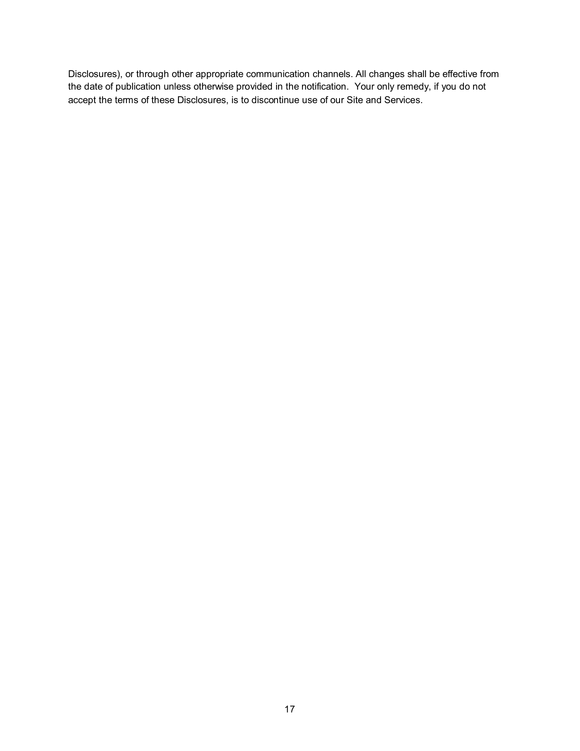Disclosures), or through other appropriate communication channels. All changes shall be effective from the date of publication unless otherwise provided in the notification. Your only remedy, if you do not accept the terms of these Disclosures, is to discontinue use of our Site and Services.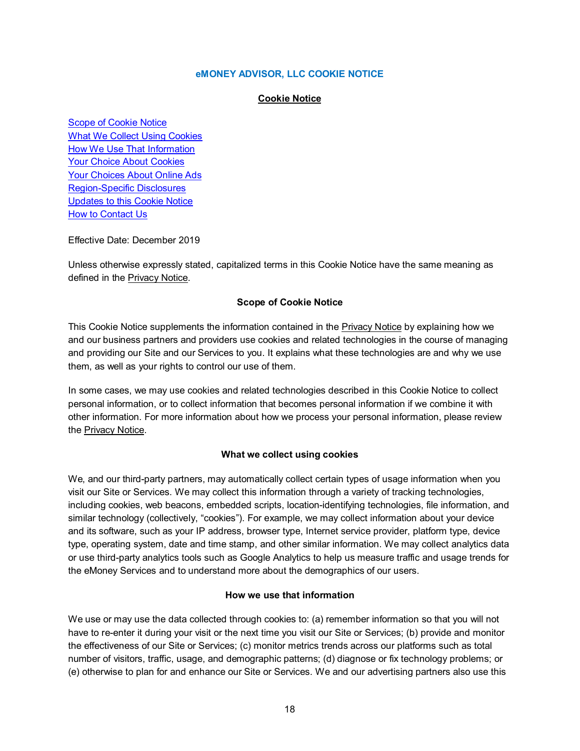### **eMONEY ADVISOR, LLC COOKIE NOTICE**

#### **Cookie Notice**

<span id="page-17-0"></span>[Scope of Cookie Notice](#page-17-1) What We [Collect Using Cookies](#page-17-2) How [We Use That Information](#page-17-3) Your [Choice About Cookies](#page-18-0) Your [Choices About Online Ads](#page-18-1) [Region-Specific](#page-18-2) Disclosures [Updates to this Cookie Notice](#page-19-0) **[How to Contact Us](#page-19-1)** 

Effective Date: December 2019

Unless otherwise expressly stated, capitalized terms in this Cookie Notice have the same meaning as defined in the [Privacy Notice.](#page-0-3)

#### **Scope of Cookie Notice**

<span id="page-17-1"></span>This Cookie Notice supplements the information contained in th[e Privacy Notice](#page-0-3) by explaining how we and our business partners and providers use cookies and related technologies in the course of managing and providing our Site and our Services to you. It explains what these technologies are and why we use them, as well as your rights to control our use of them.

In some cases, we may use cookies and related technologies described in this Cookie Notice to collect personal information, or to collect information that becomes personal information if we combine it with other information. For more information about how we process your personal information, please review th[e Privacy Notice.](#page-0-3)

### **What we collect using cookies**

<span id="page-17-2"></span>We, and our third-party partners, may automatically collect certain types of usage information when you visit our Site or Services. We may collect this information through a variety of tracking technologies, including cookies, web beacons, embedded scripts, location-identifying technologies, file information, and similar technology (collectively, "cookies"). For example, we may collect information about your device and its software, such as your IP address, browser type, Internet service provider, platform type, device type, operating system, date and time stamp, and other similar information. We may collect analytics data or use third-party analytics tools such as Google Analytics to help us measure traffic and usage trends for the eMoney Services and to understand more about the demographics of our users.

### **How we use that information**

<span id="page-17-3"></span>We use or may use the data collected through cookies to: (a) remember information so that you will not have to re-enter it during your visit or the next time you visit our Site or Services; (b) provide and monitor the effectiveness of our Site or Services; (c) monitor metrics trends across our platforms such as total number of visitors, traffic, usage, and demographic patterns; (d) diagnose or fix technology problems; or (e) otherwise to plan for and enhance our Site or Services. We and our advertising partners also use this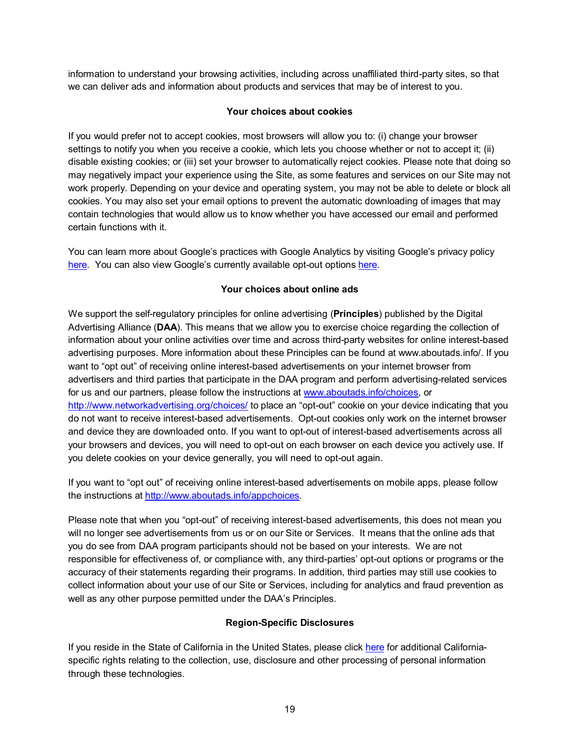information to understand your browsing activities, including across unaffiliated third-party sites, so that we can deliver ads and information about products and services that may be of interest to you.

### **Your choices about cookies**

<span id="page-18-0"></span>If you would prefer not to accept cookies, most browsers will allow you to: (i) change your browser settings to notify you when you receive a cookie, which lets you choose whether or not to accept it; (ii) disable existing cookies; or (iii) set your browser to automatically reject cookies. Please note that doing so may negatively impact your experience using the Site, as some features and services on our Site may not work properly. Depending on your device and operating system, you may not be able to delete or block all cookies. You may also set your email options to prevent the automatic downloading of images that may contain technologies that would allow us to know whether you have accessed our email and performed certain functions with it.

You can learn more about Google's practices with Google Analytics by visiting Google's privacy policy [here.](http://www.google.com/policies/privacy/partners) You can also view Google's currently available opt-out options [here.](https://tools.google.com/dlpage/gaoptout)

## **Your choices about online ads**

<span id="page-18-1"></span>We support the self-regulatory principles for online advertising (**Principles**) published by the Digital Advertising Alliance (**DAA**). This means that we allow you to exercise choice regarding the collection of information about your online activities over time and across third-party websites for online interest-based advertising purposes. More information about these Principles can be found at www.aboutads.info/. If you want to "opt out" of receiving online interest-based advertisements on your internet browser from advertisers and third parties that participate in the DAA program and perform advertising-related services for us and our partners, please follow the instructions at [www.aboutads.info/choices,](http://www.aboutads.info/choices) or <http://www.networkadvertising.org/choices/> to place an "opt-out" cookie on your device indicating that you do not want to receive interest-based advertisements. Opt-out cookies only work on the internet browser and device they are downloaded onto. If you want to opt-out of interest-based advertisements across all your browsers and devices, you will need to opt-out on each browser on each device you actively use. If you delete cookies on your device generally, you will need to opt-out again.

If you want to "opt out" of receiving online interest-based advertisements on mobile apps, please follow the instructions at [http://www.aboutads.info/appchoices.](http://www.aboutads.info/appchoices)

Please note that when you "opt-out" of receiving interest-based advertisements, this does not mean you will no longer see advertisements from us or on our Site or Services. It means that the online ads that you do see from DAA program participants should not be based on your interests. We are not responsible for effectiveness of, or compliance with, any third-parties' opt-out options or programs or the accuracy of their statements regarding their programs. In addition, third parties may still use cookies to collect information about your use of our Site or Services, including for analytics and fraud prevention as well as any other purpose permitted under the DAA's Principles.

## **Region-Specific Disclosures**

<span id="page-18-2"></span>If you reside in the State of California in the United States, please click [here](#page-9-1) for additional Californiaspecific rights relating to the collection, use, disclosure and other processing of personal information through these technologies.